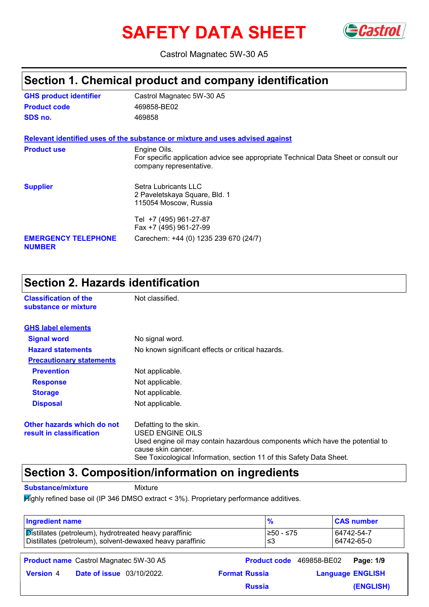# **SAFETY DATA SHEET** GCastrol



Castrol Magnatec 5W-30 A5

### **Section 1. Chemical product and company identification**

| <b>GHS product identifier</b>               | Castrol Magnatec 5W-30 A5                                                                                                      |
|---------------------------------------------|--------------------------------------------------------------------------------------------------------------------------------|
| <b>Product code</b>                         | 469858-BE02                                                                                                                    |
| SDS no.                                     | 469858                                                                                                                         |
|                                             | Relevant identified uses of the substance or mixture and uses advised against                                                  |
| <b>Product use</b>                          | Engine Oils.<br>For specific application advice see appropriate Technical Data Sheet or consult our<br>company representative. |
| <b>Supplier</b>                             | Setra Lubricants LLC<br>2 Paveletskaya Square, Bld. 1<br>115054 Moscow, Russia                                                 |
|                                             | Tel +7 (495) 961-27-87<br>Fax +7 (495) 961-27-99                                                                               |
| <b>EMERGENCY TELEPHONE</b><br><b>NUMBER</b> | Carechem: +44 (0) 1235 239 670 (24/7)                                                                                          |

### **Section 2. Hazards identification**

| <b>Classification of the</b><br>substance or mixture   | Not classified.                                                                                                                                                                                                          |  |
|--------------------------------------------------------|--------------------------------------------------------------------------------------------------------------------------------------------------------------------------------------------------------------------------|--|
| <b>GHS label elements</b>                              |                                                                                                                                                                                                                          |  |
| <b>Signal word</b>                                     | No signal word.                                                                                                                                                                                                          |  |
| <b>Hazard statements</b>                               | No known significant effects or critical hazards.                                                                                                                                                                        |  |
| <b>Precautionary statements</b>                        |                                                                                                                                                                                                                          |  |
| <b>Prevention</b>                                      | Not applicable.                                                                                                                                                                                                          |  |
| <b>Response</b>                                        | Not applicable.                                                                                                                                                                                                          |  |
| <b>Storage</b>                                         | Not applicable.                                                                                                                                                                                                          |  |
| <b>Disposal</b>                                        | Not applicable.                                                                                                                                                                                                          |  |
| Other hazards which do not<br>result in classification | Defatting to the skin.<br>USED ENGINE OILS<br>Used engine oil may contain hazardous components which have the potential to<br>cause skin cancer.<br>See Toxicological Information, section 11 of this Safety Data Sheet. |  |

### **Section 3. Composition/information on ingredients**

**Substance/mixture** Mixture

Highly refined base oil (IP 346 DMSO extract < 3%). Proprietary performance additives.

| <b>Ingredient name</b>                                                                                              | $\frac{9}{6}$        | <b>CAS number</b>                            |
|---------------------------------------------------------------------------------------------------------------------|----------------------|----------------------------------------------|
| Distillates (petroleum), hydrotreated heavy paraffinic<br>Distillates (petroleum), solvent-dewaxed heavy paraffinic | ≥50 - ≤75<br>≤3      | 64742-54-7<br>64742-65-0                     |
| <b>Product name</b> Castrol Magnatec 5W-30 A5                                                                       |                      | <b>Product code</b> 469858-BE02<br>Page: 1/9 |
| <b>Date of issue</b> 03/10/2022.<br><b>Version 4</b>                                                                | <b>Format Russia</b> | <b>Language ENGLISH</b>                      |
|                                                                                                                     | <b>Russia</b>        | (ENGLISH)                                    |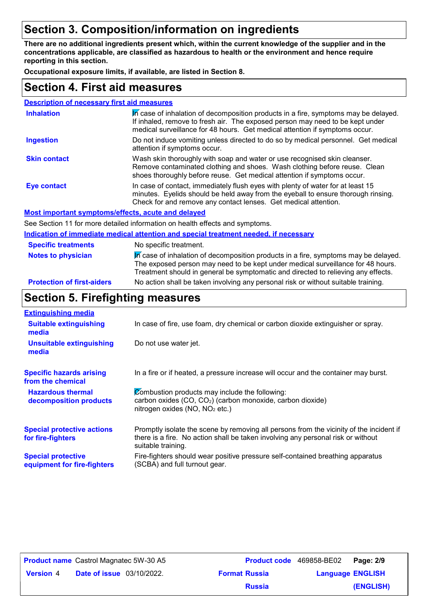### **Section 3. Composition/information on ingredients**

**There are no additional ingredients present which, within the current knowledge of the supplier and in the concentrations applicable, are classified as hazardous to health or the environment and hence require reporting in this section.**

**Occupational exposure limits, if available, are listed in Section 8.**

### **Section 4. First aid measures**

| <b>Description of necessary first aid measures</b> |                                                                                                                                                                                                                                                     |
|----------------------------------------------------|-----------------------------------------------------------------------------------------------------------------------------------------------------------------------------------------------------------------------------------------------------|
| <b>Inhalation</b>                                  | In case of inhalation of decomposition products in a fire, symptoms may be delayed.<br>If inhaled, remove to fresh air. The exposed person may need to be kept under<br>medical surveillance for 48 hours. Get medical attention if symptoms occur. |
| <b>Ingestion</b>                                   | Do not induce vomiting unless directed to do so by medical personnel. Get medical<br>attention if symptoms occur.                                                                                                                                   |
| <b>Skin contact</b>                                | Wash skin thoroughly with soap and water or use recognised skin cleanser.<br>Remove contaminated clothing and shoes. Wash clothing before reuse. Clean<br>shoes thoroughly before reuse. Get medical attention if symptoms occur.                   |
| <b>Eye contact</b>                                 | In case of contact, immediately flush eyes with plenty of water for at least 15<br>minutes. Eyelids should be held away from the eyeball to ensure thorough rinsing.<br>Check for and remove any contact lenses. Get medical attention.             |
|                                                    | Most important symptoms/effects, acute and delayed                                                                                                                                                                                                  |
|                                                    | See Section 11 for more detailed information on health effects and symptoms.                                                                                                                                                                        |
|                                                    | <u>luglication of immediate medical attention and onesial treatment needed. If necessary</u>                                                                                                                                                        |

#### **Protection of first-aiders** No action shall be taken involving any personal risk or without suitable training. **Notes to physician** In case of inhalation of decomposition products in a fire, symptoms may be delayed. The exposed person may need to be kept under medical surveillance for 48 hours. Treatment should in general be symptomatic and directed to relieving any effects. **Specific treatments** No specific treatment. **Indication of immediate medical attention and special treatment needed, if necessary**

### **Section 5. Firefighting measures**

| <b>Extinguishing media</b>                               |                                                                                                                                                                                                   |
|----------------------------------------------------------|---------------------------------------------------------------------------------------------------------------------------------------------------------------------------------------------------|
| <b>Suitable extinguishing</b><br>media                   | In case of fire, use foam, dry chemical or carbon dioxide extinguisher or spray.                                                                                                                  |
| <b>Unsuitable extinguishing</b><br>media                 | Do not use water jet.                                                                                                                                                                             |
| <b>Specific hazards arising</b><br>from the chemical     | In a fire or if heated, a pressure increase will occur and the container may burst.                                                                                                               |
| <b>Hazardous thermal</b><br>decomposition products       | Combustion products may include the following:<br>carbon oxides (CO, CO <sub>2</sub> ) (carbon monoxide, carbon dioxide)<br>nitrogen oxides (NO, NO <sub>2</sub> etc.)                            |
| <b>Special protective actions</b><br>for fire-fighters   | Promptly isolate the scene by removing all persons from the vicinity of the incident if<br>there is a fire. No action shall be taken involving any personal risk or without<br>suitable training. |
| <b>Special protective</b><br>equipment for fire-fighters | Fire-fighters should wear positive pressure self-contained breathing apparatus<br>(SCBA) and full turnout gear.                                                                                   |

| <b>Product name</b> Castrol Magnatec 5W-30 A5 |                                  |                      | <b>Product code</b> 469858-BE02 | Page: 2/9 |
|-----------------------------------------------|----------------------------------|----------------------|---------------------------------|-----------|
| <b>Version 4</b>                              | <b>Date of issue</b> 03/10/2022. | <b>Format Russia</b> | <b>Language ENGLISH</b>         |           |
|                                               |                                  | <b>Russia</b>        |                                 | (ENGLISH) |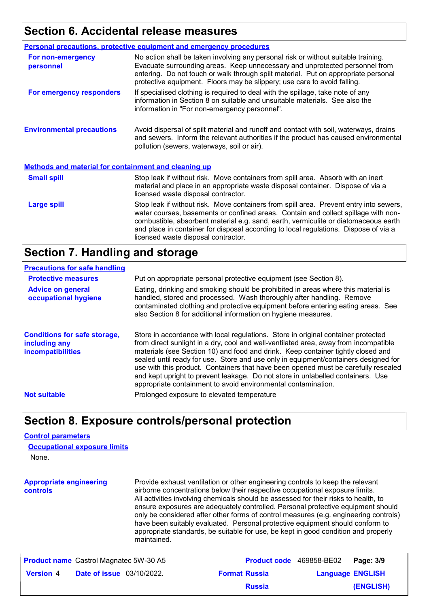### **Section 6. Accidental release measures**

|                                                             | <b>Personal precautions, protective equipment and emergency procedures</b>                                                                                                                                                                                                                                                                                                                         |
|-------------------------------------------------------------|----------------------------------------------------------------------------------------------------------------------------------------------------------------------------------------------------------------------------------------------------------------------------------------------------------------------------------------------------------------------------------------------------|
| For non-emergency<br>personnel                              | No action shall be taken involving any personal risk or without suitable training.<br>Evacuate surrounding areas. Keep unnecessary and unprotected personnel from<br>entering. Do not touch or walk through spilt material. Put on appropriate personal<br>protective equipment. Floors may be slippery; use care to avoid falling.                                                                |
| For emergency responders                                    | If specialised clothing is required to deal with the spillage, take note of any<br>information in Section 8 on suitable and unsuitable materials. See also the<br>information in "For non-emergency personnel".                                                                                                                                                                                    |
| <b>Environmental precautions</b>                            | Avoid dispersal of spilt material and runoff and contact with soil, waterways, drains<br>and sewers. Inform the relevant authorities if the product has caused environmental<br>pollution (sewers, waterways, soil or air).                                                                                                                                                                        |
| <b>Methods and material for containment and cleaning up</b> |                                                                                                                                                                                                                                                                                                                                                                                                    |
| <b>Small spill</b>                                          | Stop leak if without risk. Move containers from spill area. Absorb with an inert<br>material and place in an appropriate waste disposal container. Dispose of via a<br>licensed waste disposal contractor.                                                                                                                                                                                         |
| <b>Large spill</b>                                          | Stop leak if without risk. Move containers from spill area. Prevent entry into sewers,<br>water courses, basements or confined areas. Contain and collect spillage with non-<br>combustible, absorbent material e.g. sand, earth, vermiculite or diatomaceous earth<br>and place in container for disposal according to local regulations. Dispose of via a<br>licensed waste disposal contractor. |

### **Section 7. Handling and storage**

#### **Precautions for safe handling**

| <b>Protective measures</b>                                                       | Put on appropriate personal protective equipment (see Section 8).                                                                                                                                                                                                                                                                                                                                                                                                                                                                                                                              |
|----------------------------------------------------------------------------------|------------------------------------------------------------------------------------------------------------------------------------------------------------------------------------------------------------------------------------------------------------------------------------------------------------------------------------------------------------------------------------------------------------------------------------------------------------------------------------------------------------------------------------------------------------------------------------------------|
| <b>Advice on general</b><br>occupational hygiene                                 | Eating, drinking and smoking should be prohibited in areas where this material is<br>handled, stored and processed. Wash thoroughly after handling. Remove<br>contaminated clothing and protective equipment before entering eating areas. See<br>also Section 8 for additional information on hygiene measures.                                                                                                                                                                                                                                                                               |
| <b>Conditions for safe storage,</b><br>including any<br><b>incompatibilities</b> | Store in accordance with local regulations. Store in original container protected<br>from direct sunlight in a dry, cool and well-ventilated area, away from incompatible<br>materials (see Section 10) and food and drink. Keep container tightly closed and<br>sealed until ready for use. Store and use only in equipment/containers designed for<br>use with this product. Containers that have been opened must be carefully resealed<br>and kept upright to prevent leakage. Do not store in unlabelled containers. Use<br>appropriate containment to avoid environmental contamination. |
| <b>Not suitable</b>                                                              | Prolonged exposure to elevated temperature                                                                                                                                                                                                                                                                                                                                                                                                                                                                                                                                                     |
|                                                                                  |                                                                                                                                                                                                                                                                                                                                                                                                                                                                                                                                                                                                |

### **Section 8. Exposure controls/personal protection**

#### **Control parameters**

| <b>Occupational exposure limits</b> |  |
|-------------------------------------|--|
| None.                               |  |

**Appropriate engineering controls** Provide exhaust ventilation or other engineering controls to keep the relevant airborne concentrations below their respective occupational exposure limits. All activities involving chemicals should be assessed for their risks to health, to ensure exposures are adequately controlled. Personal protective equipment should only be considered after other forms of control measures (e.g. engineering controls) have been suitably evaluated. Personal protective equipment should conform to appropriate standards, be suitable for use, be kept in good condition and properly maintained.

| <b>Product name</b> Castrol Magnatec 5W-30 A5 |                                  |  | <b>Product code</b> 469858-BE02   Page: 3/9 |                         |           |
|-----------------------------------------------|----------------------------------|--|---------------------------------------------|-------------------------|-----------|
| <b>Version 4</b>                              | <b>Date of issue</b> 03/10/2022. |  | <b>Format Russia</b>                        | <b>Language ENGLISH</b> |           |
|                                               |                                  |  | <b>Russia</b>                               |                         | (ENGLISH) |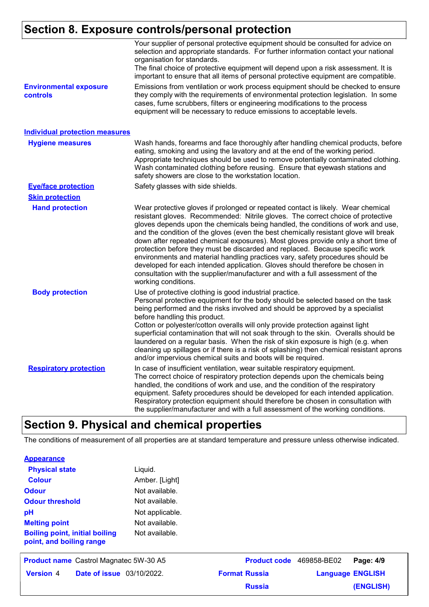### **Section 8. Exposure controls/personal protection**

|                                                  | Your supplier of personal protective equipment should be consulted for advice on<br>selection and appropriate standards. For further information contact your national<br>organisation for standards.<br>The final choice of protective equipment will depend upon a risk assessment. It is<br>important to ensure that all items of personal protective equipment are compatible.                                                                                                                                                                                                                                                                                                                                                                                                              |
|--------------------------------------------------|-------------------------------------------------------------------------------------------------------------------------------------------------------------------------------------------------------------------------------------------------------------------------------------------------------------------------------------------------------------------------------------------------------------------------------------------------------------------------------------------------------------------------------------------------------------------------------------------------------------------------------------------------------------------------------------------------------------------------------------------------------------------------------------------------|
| <b>Environmental exposure</b><br><b>controls</b> | Emissions from ventilation or work process equipment should be checked to ensure<br>they comply with the requirements of environmental protection legislation. In some<br>cases, fume scrubbers, filters or engineering modifications to the process<br>equipment will be necessary to reduce emissions to acceptable levels.                                                                                                                                                                                                                                                                                                                                                                                                                                                                   |
| <b>Individual protection measures</b>            |                                                                                                                                                                                                                                                                                                                                                                                                                                                                                                                                                                                                                                                                                                                                                                                                 |
| <b>Hygiene measures</b>                          | Wash hands, forearms and face thoroughly after handling chemical products, before<br>eating, smoking and using the lavatory and at the end of the working period.<br>Appropriate techniques should be used to remove potentially contaminated clothing.<br>Wash contaminated clothing before reusing. Ensure that eyewash stations and<br>safety showers are close to the workstation location.                                                                                                                                                                                                                                                                                                                                                                                                 |
| <b>Eye/face protection</b>                       | Safety glasses with side shields.                                                                                                                                                                                                                                                                                                                                                                                                                                                                                                                                                                                                                                                                                                                                                               |
| <b>Skin protection</b>                           |                                                                                                                                                                                                                                                                                                                                                                                                                                                                                                                                                                                                                                                                                                                                                                                                 |
| <b>Hand protection</b>                           | Wear protective gloves if prolonged or repeated contact is likely. Wear chemical<br>resistant gloves. Recommended: Nitrile gloves. The correct choice of protective<br>gloves depends upon the chemicals being handled, the conditions of work and use,<br>and the condition of the gloves (even the best chemically resistant glove will break<br>down after repeated chemical exposures). Most gloves provide only a short time of<br>protection before they must be discarded and replaced. Because specific work<br>environments and material handling practices vary, safety procedures should be<br>developed for each intended application. Gloves should therefore be chosen in<br>consultation with the supplier/manufacturer and with a full assessment of the<br>working conditions. |
| <b>Body protection</b>                           | Use of protective clothing is good industrial practice.<br>Personal protective equipment for the body should be selected based on the task<br>being performed and the risks involved and should be approved by a specialist<br>before handling this product.<br>Cotton or polyester/cotton overalls will only provide protection against light<br>superficial contamination that will not soak through to the skin. Overalls should be<br>laundered on a regular basis. When the risk of skin exposure is high (e.g. when<br>cleaning up spillages or if there is a risk of splashing) then chemical resistant aprons<br>and/or impervious chemical suits and boots will be required.                                                                                                           |
| <b>Respiratory protection</b>                    | In case of insufficient ventilation, wear suitable respiratory equipment.<br>The correct choice of respiratory protection depends upon the chemicals being<br>handled, the conditions of work and use, and the condition of the respiratory<br>equipment. Safety procedures should be developed for each intended application.<br>Respiratory protection equipment should therefore be chosen in consultation with<br>the supplier/manufacturer and with a full assessment of the working conditions.                                                                                                                                                                                                                                                                                           |

### **Section 9. Physical and chemical properties**

The conditions of measurement of all properties are at standard temperature and pressure unless otherwise indicated.

| <b>Physical state</b>                                             | Liquid.         |
|-------------------------------------------------------------------|-----------------|
| <b>Colour</b>                                                     | Amber. [Light]  |
| <b>Odour</b>                                                      | Not available.  |
| <b>Odour threshold</b>                                            | Not available.  |
| рH                                                                | Not applicable. |
| <b>Melting point</b>                                              | Not available.  |
| <b>Boiling point, initial boiling</b><br>point, and boiling range | Not available.  |

| <b>Product name</b> Castrol Magnatec 5W-30 A5 |                                  |                      | <b>Product code</b> 469858-BE02   Page: 4/9 |           |
|-----------------------------------------------|----------------------------------|----------------------|---------------------------------------------|-----------|
| <b>Version 4</b>                              | <b>Date of issue</b> 03/10/2022. | <b>Format Russia</b> | <b>Language ENGLISH</b>                     |           |
|                                               |                                  | <b>Russia</b>        |                                             | (ENGLISH) |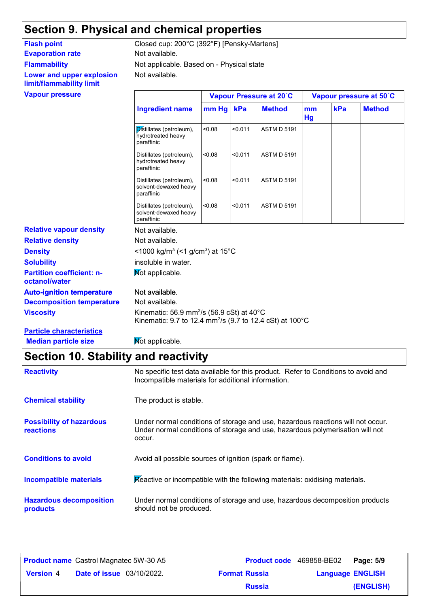### **Section 9. Physical and chemical properties**

### **Evaporation rate** Not available. **Flammability Lower and upper explosion limit/flammability limit**

Not available. Not applicable. Based on - Physical state Flash point Closed cup: 200°C (392°F) [Pensky-Martens]

| <b>Vapour pressure</b>                            |                                                                                                                                                     |                     |         | Vapour Pressure at 20°C |          | Vapour pressure at 50°C |               |  |
|---------------------------------------------------|-----------------------------------------------------------------------------------------------------------------------------------------------------|---------------------|---------|-------------------------|----------|-------------------------|---------------|--|
|                                                   | <b>Ingredient name</b>                                                                                                                              | $mm$ Hg $\parallel$ | kPa     | <b>Method</b>           | mm<br>Hg | kPa                     | <b>Method</b> |  |
|                                                   | Distillates (petroleum),<br>hydrotreated heavy<br>paraffinic                                                                                        | < 0.08              | < 0.011 | <b>ASTM D 5191</b>      |          |                         |               |  |
|                                                   | Distillates (petroleum),<br>hydrotreated heavy<br>paraffinic                                                                                        | < 0.08              | < 0.011 | <b>ASTM D 5191</b>      |          |                         |               |  |
|                                                   | Distillates (petroleum),<br>solvent-dewaxed heavy<br>paraffinic                                                                                     | < 0.08              | < 0.011 | <b>ASTM D 5191</b>      |          |                         |               |  |
|                                                   | Distillates (petroleum),<br>solvent-dewaxed heavy<br>paraffinic                                                                                     | < 0.08              | < 0.011 | <b>ASTM D 5191</b>      |          |                         |               |  |
| <b>Relative vapour density</b>                    | Not available.                                                                                                                                      |                     |         |                         |          |                         |               |  |
| <b>Relative density</b>                           | Not available.                                                                                                                                      |                     |         |                         |          |                         |               |  |
| <b>Density</b>                                    | <1000 kg/m <sup>3</sup> (<1 g/cm <sup>3</sup> ) at 15°C                                                                                             |                     |         |                         |          |                         |               |  |
| <b>Solubility</b>                                 | insoluble in water.                                                                                                                                 |                     |         |                         |          |                         |               |  |
| <b>Partition coefficient: n-</b><br>octanol/water | Mot applicable.                                                                                                                                     |                     |         |                         |          |                         |               |  |
| <b>Auto-ignition temperature</b>                  | Not available.                                                                                                                                      |                     |         |                         |          |                         |               |  |
| <b>Decomposition temperature</b>                  | Not available.                                                                                                                                      |                     |         |                         |          |                         |               |  |
| <b>Viscosity</b>                                  | Kinematic: 56.9 mm <sup>2</sup> /s (56.9 cSt) at 40 $^{\circ}$ C<br>Kinematic: 9.7 to 12.4 mm <sup>2</sup> /s (9.7 to 12.4 cSt) at 100 $^{\circ}$ C |                     |         |                         |          |                         |               |  |
| <b>Particle characteristics</b>                   |                                                                                                                                                     |                     |         |                         |          |                         |               |  |
| <b>Median particle size</b>                       | Mot applicable.                                                                                                                                     |                     |         |                         |          |                         |               |  |

### **Section 10. Stability and reactivity**

| <b>Reactivity</b>                            | No specific test data available for this product. Refer to Conditions to avoid and<br>Incompatible materials for additional information.                                   |
|----------------------------------------------|----------------------------------------------------------------------------------------------------------------------------------------------------------------------------|
| <b>Chemical stability</b>                    | The product is stable.                                                                                                                                                     |
| <b>Possibility of hazardous</b><br>reactions | Under normal conditions of storage and use, hazardous reactions will not occur.<br>Under normal conditions of storage and use, hazardous polymerisation will not<br>occur. |
| <b>Conditions to avoid</b>                   | Avoid all possible sources of ignition (spark or flame).                                                                                                                   |
| <b>Incompatible materials</b>                | Reactive or incompatible with the following materials: oxidising materials.                                                                                                |
| <b>Hazardous decomposition</b><br>products   | Under normal conditions of storage and use, hazardous decomposition products<br>should not be produced.                                                                    |

|                  | <b>Product name</b> Castrol Magnatec 5W-30 A5 | <b>Product code</b> 469858-BE02 |                         | Page: 5/9 |
|------------------|-----------------------------------------------|---------------------------------|-------------------------|-----------|
| <b>Version 4</b> | <b>Date of issue</b> 03/10/2022.              | <b>Format Russia</b>            | <b>Language ENGLISH</b> |           |
|                  |                                               | <b>Russia</b>                   |                         | (ENGLISH) |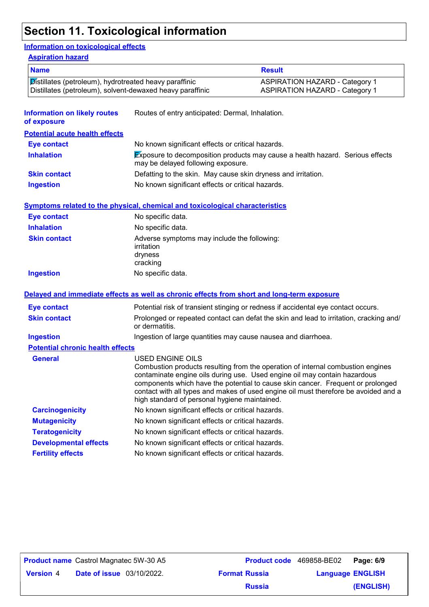## **Section 11. Toxicological information**

#### **Information on toxicological effects**

#### **Aspiration hazard**

| <b>Name</b>                                                                                                         |                                                                                                          | <b>Result</b>                                                                                                                                                                                                                                                                                                                          |  |
|---------------------------------------------------------------------------------------------------------------------|----------------------------------------------------------------------------------------------------------|----------------------------------------------------------------------------------------------------------------------------------------------------------------------------------------------------------------------------------------------------------------------------------------------------------------------------------------|--|
| Distillates (petroleum), hydrotreated heavy paraffinic<br>Distillates (petroleum), solvent-dewaxed heavy paraffinic |                                                                                                          | <b>ASPIRATION HAZARD - Category 1</b><br><b>ASPIRATION HAZARD - Category 1</b>                                                                                                                                                                                                                                                         |  |
| <b>Information on likely routes</b><br>of exposure                                                                  | Routes of entry anticipated: Dermal, Inhalation.                                                         |                                                                                                                                                                                                                                                                                                                                        |  |
| <b>Potential acute health effects</b>                                                                               |                                                                                                          |                                                                                                                                                                                                                                                                                                                                        |  |
| <b>Eye contact</b>                                                                                                  | No known significant effects or critical hazards.                                                        |                                                                                                                                                                                                                                                                                                                                        |  |
| <b>Inhalation</b>                                                                                                   | may be delayed following exposure.                                                                       | Exposure to decomposition products may cause a health hazard. Serious effects                                                                                                                                                                                                                                                          |  |
| <b>Skin contact</b>                                                                                                 | Defatting to the skin. May cause skin dryness and irritation.                                            |                                                                                                                                                                                                                                                                                                                                        |  |
| <b>Ingestion</b>                                                                                                    | No known significant effects or critical hazards.                                                        |                                                                                                                                                                                                                                                                                                                                        |  |
|                                                                                                                     | <b>Symptoms related to the physical, chemical and toxicological characteristics</b>                      |                                                                                                                                                                                                                                                                                                                                        |  |
| <b>Eye contact</b>                                                                                                  | No specific data.                                                                                        |                                                                                                                                                                                                                                                                                                                                        |  |
| <b>Inhalation</b>                                                                                                   | No specific data.                                                                                        |                                                                                                                                                                                                                                                                                                                                        |  |
| <b>Skin contact</b>                                                                                                 | Adverse symptoms may include the following:<br><i>irritation</i><br>dryness<br>cracking                  |                                                                                                                                                                                                                                                                                                                                        |  |
| <b>Ingestion</b>                                                                                                    | No specific data.                                                                                        |                                                                                                                                                                                                                                                                                                                                        |  |
|                                                                                                                     | Delayed and immediate effects as well as chronic effects from short and long-term exposure               |                                                                                                                                                                                                                                                                                                                                        |  |
| <b>Eye contact</b>                                                                                                  |                                                                                                          | Potential risk of transient stinging or redness if accidental eye contact occurs.                                                                                                                                                                                                                                                      |  |
| <b>Skin contact</b>                                                                                                 | Prolonged or repeated contact can defat the skin and lead to irritation, cracking and/<br>or dermatitis. |                                                                                                                                                                                                                                                                                                                                        |  |
| <b>Ingestion</b>                                                                                                    | Ingestion of large quantities may cause nausea and diarrhoea.                                            |                                                                                                                                                                                                                                                                                                                                        |  |
| <b>Potential chronic health effects</b>                                                                             |                                                                                                          |                                                                                                                                                                                                                                                                                                                                        |  |
| <b>General</b>                                                                                                      | <b>USED ENGINE OILS</b><br>high standard of personal hygiene maintained.                                 | Combustion products resulting from the operation of internal combustion engines<br>contaminate engine oils during use. Used engine oil may contain hazardous<br>components which have the potential to cause skin cancer. Frequent or prolonged<br>contact with all types and makes of used engine oil must therefore be avoided and a |  |
| <b>Carcinogenicity</b>                                                                                              | No known significant effects or critical hazards.                                                        |                                                                                                                                                                                                                                                                                                                                        |  |
| <b>Mutagenicity</b>                                                                                                 | No known significant effects or critical hazards.                                                        |                                                                                                                                                                                                                                                                                                                                        |  |
| <b>Teratogenicity</b>                                                                                               | No known significant effects or critical hazards.                                                        |                                                                                                                                                                                                                                                                                                                                        |  |
| <b>Developmental effects</b>                                                                                        | No known significant effects or critical hazards.                                                        |                                                                                                                                                                                                                                                                                                                                        |  |
| <b>Fertility effects</b>                                                                                            | No known significant effects or critical hazards.                                                        |                                                                                                                                                                                                                                                                                                                                        |  |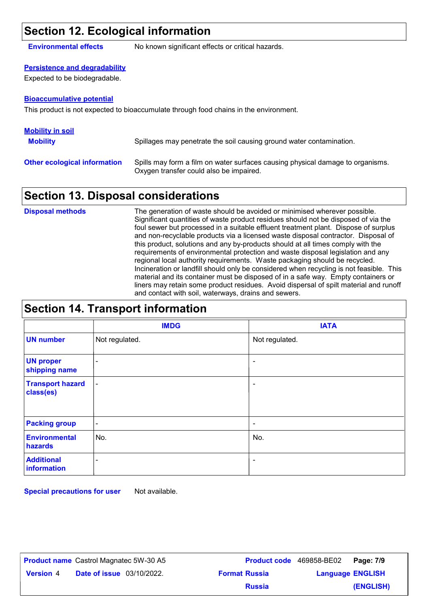### **Section 12. Ecological information**

**Environmental effects** No known significant effects or critical hazards.

### **Persistence and degradability**

Expected to be biodegradable.

#### **Bioaccumulative potential**

This product is not expected to bioaccumulate through food chains in the environment.

| <b>Mobility in soil</b>             |                                                                                                                           |
|-------------------------------------|---------------------------------------------------------------------------------------------------------------------------|
| <b>Mobility</b>                     | Spillages may penetrate the soil causing ground water contamination.                                                      |
| <b>Other ecological information</b> | Spills may form a film on water surfaces causing physical damage to organisms.<br>Oxygen transfer could also be impaired. |

### **Section 13. Disposal considerations**

The generation of waste should be avoided or minimised wherever possible. Significant quantities of waste product residues should not be disposed of via the foul sewer but processed in a suitable effluent treatment plant. Dispose of surplus and non-recyclable products via a licensed waste disposal contractor. Disposal of this product, solutions and any by-products should at all times comply with the requirements of environmental protection and waste disposal legislation and any regional local authority requirements. Waste packaging should be recycled. Incineration or landfill should only be considered when recycling is not feasible. This material and its container must be disposed of in a safe way. Empty containers or liners may retain some product residues. Avoid dispersal of spilt material and runoff and contact with soil, waterways, drains and sewers. **Disposal methods**

### **Section 14. Transport information**

|                                      | <b>IMDG</b>    | <b>IATA</b>              |
|--------------------------------------|----------------|--------------------------|
| <b>UN number</b>                     | Not regulated. | Not regulated.           |
| <b>UN proper</b><br>shipping name    | $\blacksquare$ | ٠                        |
| <b>Transport hazard</b><br>class(es) | $\blacksquare$ | -                        |
| <b>Packing group</b>                 | $\blacksquare$ | $\overline{\phantom{a}}$ |
| <b>Environmental</b><br>hazards      | No.            | No.                      |
| <b>Additional</b><br>information     | ۰              | $\overline{\phantom{0}}$ |

**Special precautions for user** Not available.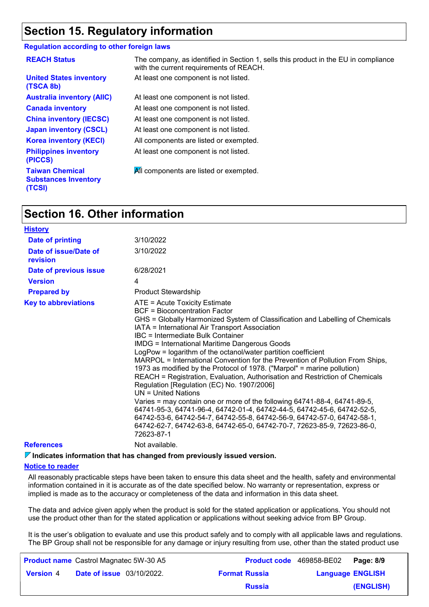### **Section 15. Regulatory information**

#### **Regulation according to other foreign laws**

| <b>REACH Status</b>                                             | The company, as identified in Section 1, sells this product in the EU in compliance<br>with the current requirements of REACH. |
|-----------------------------------------------------------------|--------------------------------------------------------------------------------------------------------------------------------|
| <b>United States inventory</b><br>(TSCA 8b)                     | At least one component is not listed.                                                                                          |
| <b>Australia inventory (AIIC)</b>                               | At least one component is not listed.                                                                                          |
| <b>Canada inventory</b>                                         | At least one component is not listed.                                                                                          |
| <b>China inventory (IECSC)</b>                                  | At least one component is not listed.                                                                                          |
| <b>Japan inventory (CSCL)</b>                                   | At least one component is not listed.                                                                                          |
| <b>Korea inventory (KECI)</b>                                   | All components are listed or exempted.                                                                                         |
| <b>Philippines inventory</b><br>(PICCS)                         | At least one component is not listed.                                                                                          |
| <b>Taiwan Chemical</b><br><b>Substances Inventory</b><br>(TCSI) | All components are listed or exempted.                                                                                         |

### **Section 16. Other information**

| <b>History</b>                    |                                                                                                                                                                                                                                                                                                                                                                                                                                                                                                                                                                                                                                                                                                                                                                                                                                                                                                                                                                                                                       |
|-----------------------------------|-----------------------------------------------------------------------------------------------------------------------------------------------------------------------------------------------------------------------------------------------------------------------------------------------------------------------------------------------------------------------------------------------------------------------------------------------------------------------------------------------------------------------------------------------------------------------------------------------------------------------------------------------------------------------------------------------------------------------------------------------------------------------------------------------------------------------------------------------------------------------------------------------------------------------------------------------------------------------------------------------------------------------|
| <b>Date of printing</b>           | 3/10/2022                                                                                                                                                                                                                                                                                                                                                                                                                                                                                                                                                                                                                                                                                                                                                                                                                                                                                                                                                                                                             |
| Date of issue/Date of<br>revision | 3/10/2022                                                                                                                                                                                                                                                                                                                                                                                                                                                                                                                                                                                                                                                                                                                                                                                                                                                                                                                                                                                                             |
| Date of previous issue            | 6/28/2021                                                                                                                                                                                                                                                                                                                                                                                                                                                                                                                                                                                                                                                                                                                                                                                                                                                                                                                                                                                                             |
| <b>Version</b>                    | 4                                                                                                                                                                                                                                                                                                                                                                                                                                                                                                                                                                                                                                                                                                                                                                                                                                                                                                                                                                                                                     |
| <b>Prepared by</b>                | <b>Product Stewardship</b>                                                                                                                                                                                                                                                                                                                                                                                                                                                                                                                                                                                                                                                                                                                                                                                                                                                                                                                                                                                            |
| <b>Key to abbreviations</b>       | ATE = Acute Toxicity Estimate<br><b>BCF</b> = Bioconcentration Factor<br>GHS = Globally Harmonized System of Classification and Labelling of Chemicals<br>IATA = International Air Transport Association<br>IBC = Intermediate Bulk Container<br><b>IMDG = International Maritime Dangerous Goods</b><br>LogPow = logarithm of the octanol/water partition coefficient<br>MARPOL = International Convention for the Prevention of Pollution From Ships,<br>1973 as modified by the Protocol of 1978. ("Marpol" = marine pollution)<br>REACH = Registration, Evaluation, Authorisation and Restriction of Chemicals<br>Regulation [Regulation (EC) No. 1907/2006]<br>$UN = United Nations$<br>Varies = may contain one or more of the following 64741-88-4, 64741-89-5,<br>64741-95-3, 64741-96-4, 64742-01-4, 64742-44-5, 64742-45-6, 64742-52-5,<br>64742-53-6, 64742-54-7, 64742-55-8, 64742-56-9, 64742-57-0, 64742-58-1,<br>64742-62-7, 64742-63-8, 64742-65-0, 64742-70-7, 72623-85-9, 72623-86-0,<br>72623-87-1 |
| <b>References</b>                 | Not available.                                                                                                                                                                                                                                                                                                                                                                                                                                                                                                                                                                                                                                                                                                                                                                                                                                                                                                                                                                                                        |
|                                   |                                                                                                                                                                                                                                                                                                                                                                                                                                                                                                                                                                                                                                                                                                                                                                                                                                                                                                                                                                                                                       |

**Indicates information that has changed from previously issued version.**

#### **Notice to reader**

All reasonably practicable steps have been taken to ensure this data sheet and the health, safety and environmental information contained in it is accurate as of the date specified below. No warranty or representation, express or implied is made as to the accuracy or completeness of the data and information in this data sheet.

The data and advice given apply when the product is sold for the stated application or applications. You should not use the product other than for the stated application or applications without seeking advice from BP Group.

It is the user's obligation to evaluate and use this product safely and to comply with all applicable laws and regulations. The BP Group shall not be responsible for any damage or injury resulting from use, other than the stated product use

|                  | <b>Product name</b> Castrol Magnatec 5W-30 A5 |                      | <b>Product code</b> 469858-BE02 <b>Page: 8/9</b> |           |
|------------------|-----------------------------------------------|----------------------|--------------------------------------------------|-----------|
| <b>Version 4</b> | <b>Date of issue</b> 03/10/2022.              | <b>Format Russia</b> | <b>Language ENGLISH</b>                          |           |
|                  |                                               | <b>Russia</b>        |                                                  | (ENGLISH) |